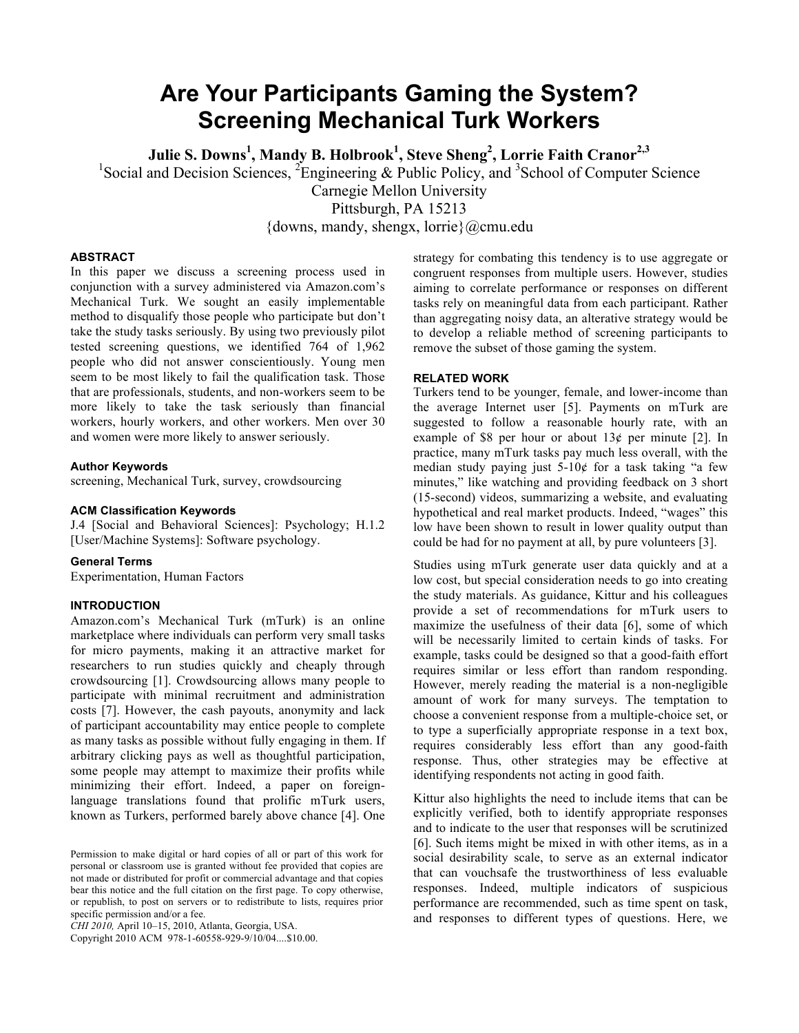# **Are Your Participants Gaming the System? Screening Mechanical Turk Workers**

 $\mathbf{Julie\ S.\}$  Downs $^1$ , Mandy B. Holbrook $^1$ , Steve Sheng $^2$ , Lorrie Faith Cranor $^{2,3}$ 

<sup>1</sup>Social and Decision Sciences,  $2^{\circ}$ Engineering & Public Policy, and <sup>3</sup>School of Computer Science

Carnegie Mellon University

Pittsburgh, PA 15213

{downs, mandy, shengx, lorrie}@cmu.edu

#### **ABSTRACT**

In this paper we discuss a screening process used in conjunction with a survey administered via Amazon.com's Mechanical Turk. We sought an easily implementable method to disqualify those people who participate but don't take the study tasks seriously. By using two previously pilot tested screening questions, we identified 764 of 1,962 people who did not answer conscientiously. Young men seem to be most likely to fail the qualification task. Those that are professionals, students, and non-workers seem to be more likely to take the task seriously than financial workers, hourly workers, and other workers. Men over 30 and women were more likely to answer seriously.

#### **Author Keywords**

screening, Mechanical Turk, survey, crowdsourcing

# **ACM Classification Keywords**

J.4 [Social and Behavioral Sciences]: Psychology; H.1.2 [User/Machine Systems]: Software psychology.

#### **General Terms**

Experimentation, Human Factors

# **INTRODUCTION**

Amazon.com's Mechanical Turk (mTurk) is an online marketplace where individuals can perform very small tasks for micro payments, making it an attractive market for researchers to run studies quickly and cheaply through crowdsourcing [1]. Crowdsourcing allows many people to participate with minimal recruitment and administration costs [7]. However, the cash payouts, anonymity and lack of participant accountability may entice people to complete as many tasks as possible without fully engaging in them. If arbitrary clicking pays as well as thoughtful participation, some people may attempt to maximize their profits while minimizing their effort. Indeed, a paper on foreignlanguage translations found that prolific mTurk users, known as Turkers, performed barely above chance [4]. One

Copyright 2010 ACM 978-1-60558-929-9/10/04....\$10.00.

strategy for combating this tendency is to use aggregate or congruent responses from multiple users. However, studies aiming to correlate performance or responses on different tasks rely on meaningful data from each participant. Rather than aggregating noisy data, an alterative strategy would be to develop a reliable method of screening participants to remove the subset of those gaming the system.

#### **RELATED WORK**

Turkers tend to be younger, female, and lower-income than the average Internet user [5]. Payments on mTurk are suggested to follow a reasonable hourly rate, with an example of \$8 per hour or about  $13¢$  per minute [2]. In practice, many mTurk tasks pay much less overall, with the median study paying just  $5-10¢$  for a task taking "a few minutes," like watching and providing feedback on 3 short (15-second) videos, summarizing a website, and evaluating hypothetical and real market products. Indeed, "wages" this low have been shown to result in lower quality output than could be had for no payment at all, by pure volunteers [3].

Studies using mTurk generate user data quickly and at a low cost, but special consideration needs to go into creating the study materials. As guidance, Kittur and his colleagues provide a set of recommendations for mTurk users to maximize the usefulness of their data [6], some of which will be necessarily limited to certain kinds of tasks. For example, tasks could be designed so that a good-faith effort requires similar or less effort than random responding. However, merely reading the material is a non-negligible amount of work for many surveys. The temptation to choose a convenient response from a multiple-choice set, or to type a superficially appropriate response in a text box, requires considerably less effort than any good-faith response. Thus, other strategies may be effective at identifying respondents not acting in good faith.

Kittur also highlights the need to include items that can be explicitly verified, both to identify appropriate responses and to indicate to the user that responses will be scrutinized [6]. Such items might be mixed in with other items, as in a social desirability scale, to serve as an external indicator that can vouchsafe the trustworthiness of less evaluable responses. Indeed, multiple indicators of suspicious performance are recommended, such as time spent on task, and responses to different types of questions. Here, we

Permission to make digital or hard copies of all or part of this work for personal or classroom use is granted without fee provided that copies are not made or distributed for profit or commercial advantage and that copies bear this notice and the full citation on the first page. To copy otherwise, or republish, to post on servers or to redistribute to lists, requires prior specific permission and/or a fee.

*CHI 2010,* April 10–15, 2010, Atlanta, Georgia, USA.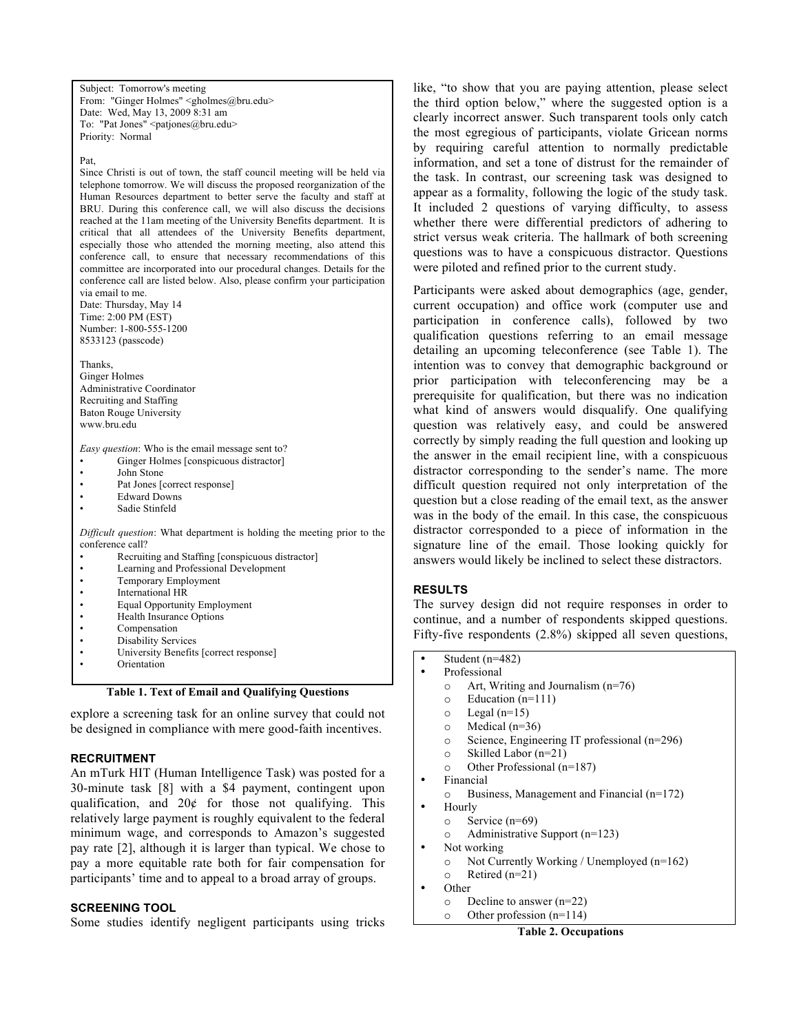Subject: Tomorrow's meeting From: "Ginger Holmes" <gholmes@bru.edu> Date: Wed, May 13, 2009 8:31 am To: "Pat Jones" <patjones@bru.edu> Priority: Normal

Pat,

Since Christi is out of town, the staff council meeting will be held via telephone tomorrow. We will discuss the proposed reorganization of the Human Resources department to better serve the faculty and staff at BRU. During this conference call, we will also discuss the decisions reached at the 11am meeting of the University Benefits department. It is critical that all attendees of the University Benefits department, especially those who attended the morning meeting, also attend this conference call, to ensure that necessary recommendations of this committee are incorporated into our procedural changes. Details for the conference call are listed below. Also, please confirm your participation via email to me.

Date: Thursday, May 14 Time: 2:00 PM (EST) Number: 1-800-555-1200 8533123 (passcode)

Thanks, Ginger Holmes Administrative Coordinator Recruiting and Staffing Baton Rouge University www.bru.edu

*Easy question*: Who is the email message sent to? Ginger Holmes [conspicuous distractor]

- John Stone
- Pat Jones [correct response]
- Edward Downs
- Sadie Stinfeld

*Difficult question*: What department is holding the meeting prior to the conference call?

- Recruiting and Staffing [conspicuous distractor]
- Learning and Professional Development
- Temporary Employment
- International HR
- Equal Opportunity Employment • Health Insurance Options
- Compensation
- Disability Services
- University Benefits [correct response]
- Orientation

**Table 1. Text of Email and Qualifying Questions**

explore a screening task for an online survey that could not be designed in compliance with mere good-faith incentives.

# **RECRUITMENT**

An mTurk HIT (Human Intelligence Task) was posted for a 30-minute task [8] with a \$4 payment, contingent upon qualification, and  $20¢$  for those not qualifying. This relatively large payment is roughly equivalent to the federal minimum wage, and corresponds to Amazon's suggested pay rate [2], although it is larger than typical. We chose to pay a more equitable rate both for fair compensation for participants' time and to appeal to a broad array of groups.

# **SCREENING TOOL**

Some studies identify negligent participants using tricks

like, "to show that you are paying attention, please select the third option below," where the suggested option is a clearly incorrect answer. Such transparent tools only catch the most egregious of participants, violate Gricean norms by requiring careful attention to normally predictable information, and set a tone of distrust for the remainder of the task. In contrast, our screening task was designed to appear as a formality, following the logic of the study task. It included 2 questions of varying difficulty, to assess whether there were differential predictors of adhering to strict versus weak criteria. The hallmark of both screening questions was to have a conspicuous distractor. Questions were piloted and refined prior to the current study.

Participants were asked about demographics (age, gender, current occupation) and office work (computer use and participation in conference calls), followed by two qualification questions referring to an email message detailing an upcoming teleconference (see Table 1). The intention was to convey that demographic background or prior participation with teleconferencing may be a prerequisite for qualification, but there was no indication what kind of answers would disqualify. One qualifying question was relatively easy, and could be answered correctly by simply reading the full question and looking up the answer in the email recipient line, with a conspicuous distractor corresponding to the sender's name. The more difficult question required not only interpretation of the question but a close reading of the email text, as the answer was in the body of the email. In this case, the conspicuous distractor corresponded to a piece of information in the signature line of the email. Those looking quickly for answers would likely be inclined to select these distractors.

# **RESULTS**

The survey design did not require responses in order to continue, and a number of respondents skipped questions. Fifty-five respondents (2.8%) skipped all seven questions,

- Student  $(n=482)$
- Professional
	- o Art, Writing and Journalism (n=76)
	- o Education (n=111)
	- $\circ$  Legal (n=15)
	- o Medical (n=36)
	- o Science, Engineering IT professional (n=296)
	- o Skilled Labor (n=21)
	- o Other Professional (n=187)
- Financial
- o Business, Management and Financial (n=172)
- Hourly
	- o Service (n=69)
	- o Administrative Support (n=123)
- Not working<br>  $\circ$  Not Cur
	- Not Currently Working / Unemployed  $(n=162)$
- $\circ$  Retired (n=21)
- Other
	- o Decline to answer (n=22)
	- o Other profession (n=114)

# **Table 2. Occupations**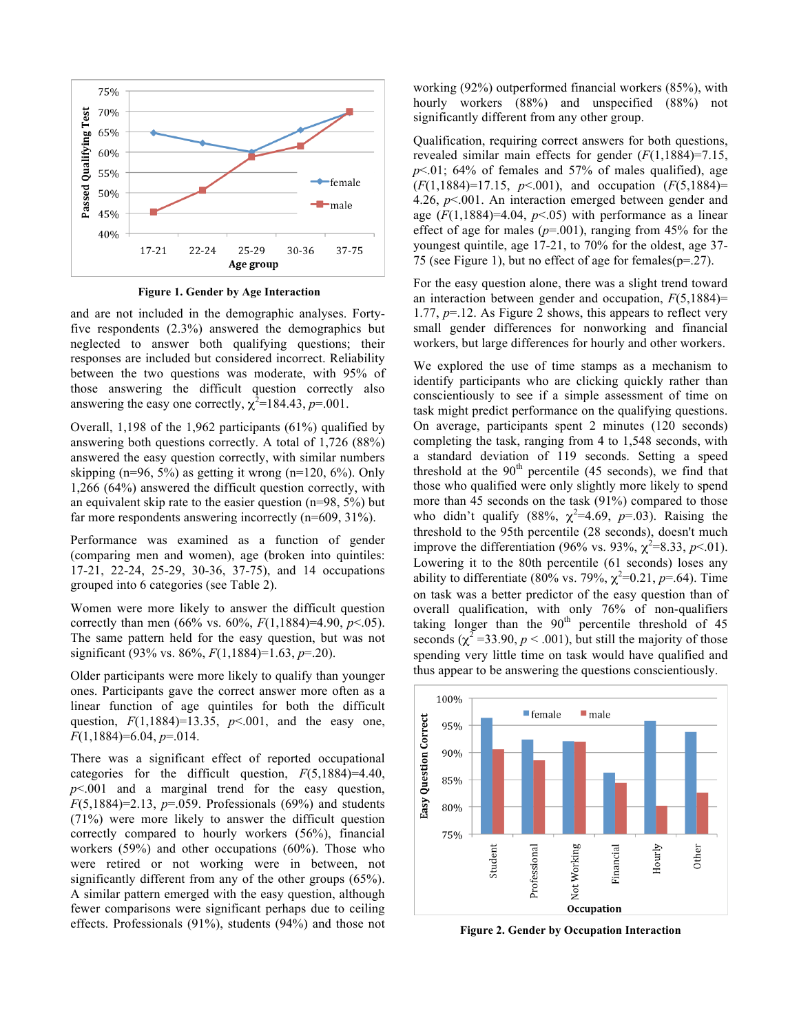

**Figure 1. Gender by Age Interaction**

and are not included in the demographic analyses. Fortyfive respondents (2.3%) answered the demographics but neglected to answer both qualifying questions; their responses are included but considered incorrect. Reliability between the two questions was moderate, with 95% of those answering the difficult question correctly also answering the easy one correctly,  $\chi^2$ =184.43, *p*=.001.

Overall, 1,198 of the 1,962 participants (61%) qualified by answering both questions correctly. A total of 1,726 (88%) answered the easy question correctly, with similar numbers skipping (n=96, 5%) as getting it wrong (n=120, 6%). Only 1,266 (64%) answered the difficult question correctly, with an equivalent skip rate to the easier question (n=98, 5%) but far more respondents answering incorrectly (n=609, 31%).

Performance was examined as a function of gender (comparing men and women), age (broken into quintiles: 17-21, 22-24, 25-29, 30-36, 37-75), and 14 occupations grouped into 6 categories (see Table 2).

Women were more likely to answer the difficult question correctly than men (66% vs. 60%, *F*(1,1884)=4.90, *p*<.05). The same pattern held for the easy question, but was not significant (93% vs. 86%, *F*(1,1884)=1.63, *p*=.20).

Older participants were more likely to qualify than younger ones. Participants gave the correct answer more often as a linear function of age quintiles for both the difficult question,  $F(1,1884)=13.35$ ,  $p<.001$ , and the easy one, *F*(1,1884)=6.04, *p*=.014.

There was a significant effect of reported occupational categories for the difficult question, *F*(5,1884)=4.40, *p*<.001 and a marginal trend for the easy question, *F*(5,1884)=2.13, *p*=.059. Professionals (69%) and students (71%) were more likely to answer the difficult question correctly compared to hourly workers (56%), financial workers (59%) and other occupations (60%). Those who were retired or not working were in between, not significantly different from any of the other groups (65%). A similar pattern emerged with the easy question, although fewer comparisons were significant perhaps due to ceiling effects. Professionals (91%), students (94%) and those not working (92%) outperformed financial workers (85%), with hourly workers (88%) and unspecified (88%) not significantly different from any other group.

Qualification, requiring correct answers for both questions, revealed similar main effects for gender (*F*(1,1884)=7.15,  $p<.01$ ; 64% of females and 57% of males qualified), age (*F*(1,1884)=17.15, *p*<.001), and occupation (*F*(5,1884)= 4.26, *p*<.001. An interaction emerged between gender and age  $(F(1,1884)=4.04, p<0.05)$  with performance as a linear effect of age for males  $(p=0.001)$ , ranging from 45% for the youngest quintile, age 17-21, to 70% for the oldest, age 37- 75 (see Figure 1), but no effect of age for females(p=.27).

For the easy question alone, there was a slight trend toward an interaction between gender and occupation, *F*(5,1884)= 1.77, *p*=.12. As Figure 2 shows, this appears to reflect very small gender differences for nonworking and financial workers, but large differences for hourly and other workers.

We explored the use of time stamps as a mechanism to identify participants who are clicking quickly rather than conscientiously to see if a simple assessment of time on task might predict performance on the qualifying questions. On average, participants spent 2 minutes (120 seconds) completing the task, ranging from 4 to 1,548 seconds, with a standard deviation of 119 seconds. Setting a speed threshold at the  $90<sup>th</sup>$  percentile (45 seconds), we find that those who qualified were only slightly more likely to spend more than 45 seconds on the task (91%) compared to those who didn't qualify (88%,  $\chi^2$ =4.69,  $p$ =.03). Raising the threshold to the 95th percentile (28 seconds), doesn't much improve the differentiation (96% vs. 93%,  $\chi^2 = 8.33$ ,  $p < 01$ ). Lowering it to the 80th percentile (61 seconds) loses any ability to differentiate (80% vs. 79%,  $\chi^2$ =0.21, *p*=.64). Time on task was a better predictor of the easy question than of overall qualification, with only 76% of non-qualifiers taking longer than the 90<sup>th</sup> percentile threshold of 45 seconds  $(\chi^2 = 33.90, p < .001)$ , but still the majority of those spending very little time on task would have qualified and thus appear to be answering the questions conscientiously.



**Figure 2. Gender by Occupation Interaction**